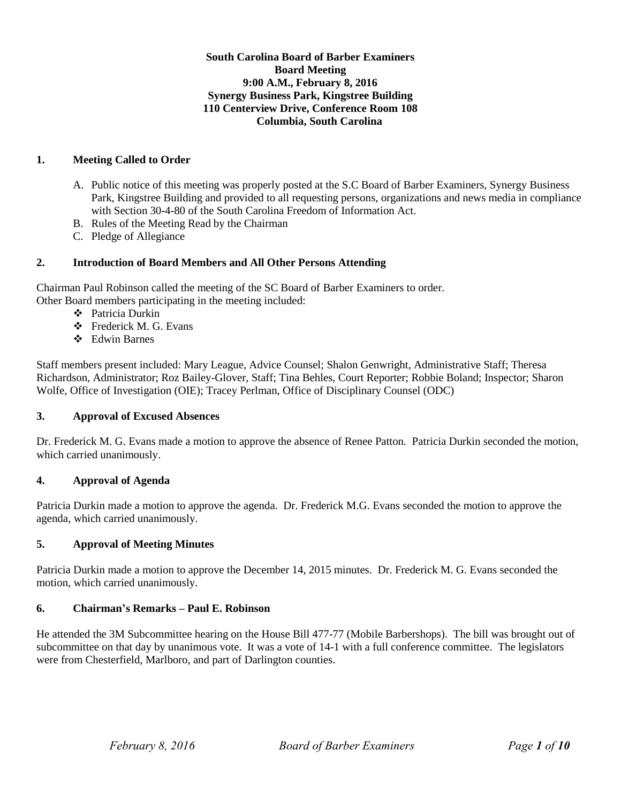## **South Carolina Board of Barber Examiners Board Meeting 9:00 A.M., February 8, 2016 Synergy Business Park, Kingstree Building 110 Centerview Drive, Conference Room 108 Columbia, South Carolina**

## **1. Meeting Called to Order**

- A. Public notice of this meeting was properly posted at the S.C Board of Barber Examiners, Synergy Business Park, Kingstree Building and provided to all requesting persons, organizations and news media in compliance with Section 30-4-80 of the South Carolina Freedom of Information Act.
- B. Rules of the Meeting Read by the Chairman
- C. Pledge of Allegiance

## **2. Introduction of Board Members and All Other Persons Attending**

Chairman Paul Robinson called the meeting of the SC Board of Barber Examiners to order. Other Board members participating in the meeting included:

- Patricia Durkin
- Frederick M. G. Evans
- Edwin Barnes

Staff members present included: Mary League, Advice Counsel; Shalon Genwright, Administrative Staff; Theresa Richardson, Administrator; Roz Bailey-Glover, Staff; Tina Behles, Court Reporter; Robbie Boland; Inspector; Sharon Wolfe, Office of Investigation (OIE); Tracey Perlman, Office of Disciplinary Counsel (ODC)

## **3. Approval of Excused Absences**

Dr. Frederick M. G. Evans made a motion to approve the absence of Renee Patton. Patricia Durkin seconded the motion, which carried unanimously.

## **4. Approval of Agenda**

Patricia Durkin made a motion to approve the agenda. Dr. Frederick M.G. Evans seconded the motion to approve the agenda, which carried unanimously.

## **5. Approval of Meeting Minutes**

Patricia Durkin made a motion to approve the December 14, 2015 minutes. Dr. Frederick M. G. Evans seconded the motion, which carried unanimously.

## **6. Chairman's Remarks – Paul E. Robinson**

He attended the 3M Subcommittee hearing on the House Bill 477-77 (Mobile Barbershops). The bill was brought out of subcommittee on that day by unanimous vote. It was a vote of 14-1 with a full conference committee. The legislators were from Chesterfield, Marlboro, and part of Darlington counties.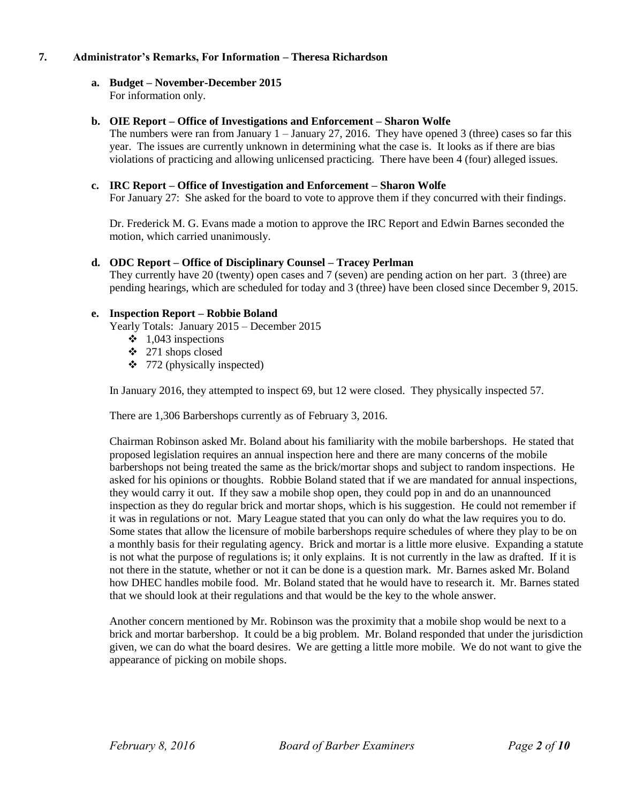## **7. Administrator's Remarks, For Information – Theresa Richardson**

## **a. Budget – November-December 2015**

For information only.

#### **b. OIE Report – Office of Investigations and Enforcement – Sharon Wolfe**

The numbers were ran from January  $1 -$  January 27, 2016. They have opened 3 (three) cases so far this year. The issues are currently unknown in determining what the case is. It looks as if there are bias violations of practicing and allowing unlicensed practicing. There have been 4 (four) alleged issues.

### **c. IRC Report – Office of Investigation and Enforcement – Sharon Wolfe**

For January 27: She asked for the board to vote to approve them if they concurred with their findings.

Dr. Frederick M. G. Evans made a motion to approve the IRC Report and Edwin Barnes seconded the motion, which carried unanimously.

#### **d. ODC Report – Office of Disciplinary Counsel – Tracey Perlman**

They currently have 20 (twenty) open cases and 7 (seven) are pending action on her part. 3 (three) are pending hearings, which are scheduled for today and 3 (three) have been closed since December 9, 2015.

#### **e. Inspection Report – Robbie Boland**

Yearly Totals: January 2015 – December 2015

- $\div$  1,043 inspections
- 271 shops closed
- $\div$  772 (physically inspected)

In January 2016, they attempted to inspect 69, but 12 were closed. They physically inspected 57.

There are 1,306 Barbershops currently as of February 3, 2016.

Chairman Robinson asked Mr. Boland about his familiarity with the mobile barbershops. He stated that proposed legislation requires an annual inspection here and there are many concerns of the mobile barbershops not being treated the same as the brick/mortar shops and subject to random inspections. He asked for his opinions or thoughts. Robbie Boland stated that if we are mandated for annual inspections, they would carry it out. If they saw a mobile shop open, they could pop in and do an unannounced inspection as they do regular brick and mortar shops, which is his suggestion. He could not remember if it was in regulations or not. Mary League stated that you can only do what the law requires you to do. Some states that allow the licensure of mobile barbershops require schedules of where they play to be on a monthly basis for their regulating agency. Brick and mortar is a little more elusive. Expanding a statute is not what the purpose of regulations is; it only explains. It is not currently in the law as drafted. If it is not there in the statute, whether or not it can be done is a question mark. Mr. Barnes asked Mr. Boland how DHEC handles mobile food. Mr. Boland stated that he would have to research it. Mr. Barnes stated that we should look at their regulations and that would be the key to the whole answer.

Another concern mentioned by Mr. Robinson was the proximity that a mobile shop would be next to a brick and mortar barbershop. It could be a big problem. Mr. Boland responded that under the jurisdiction given, we can do what the board desires. We are getting a little more mobile. We do not want to give the appearance of picking on mobile shops.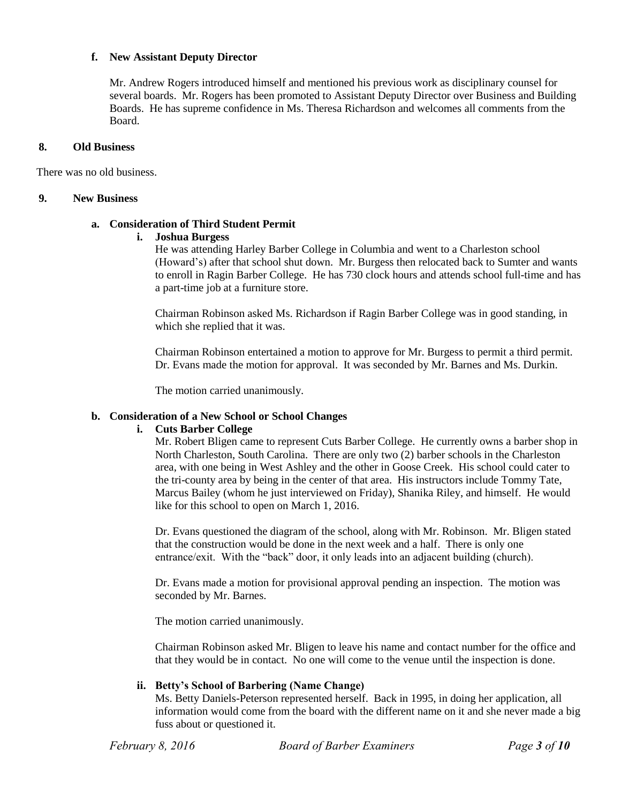#### **f. New Assistant Deputy Director**

Mr. Andrew Rogers introduced himself and mentioned his previous work as disciplinary counsel for several boards. Mr. Rogers has been promoted to Assistant Deputy Director over Business and Building Boards. He has supreme confidence in Ms. Theresa Richardson and welcomes all comments from the Board.

### **8. Old Business**

There was no old business.

#### **9. New Business**

### **a. Consideration of Third Student Permit**

#### **i. Joshua Burgess**

He was attending Harley Barber College in Columbia and went to a Charleston school (Howard's) after that school shut down. Mr. Burgess then relocated back to Sumter and wants to enroll in Ragin Barber College. He has 730 clock hours and attends school full-time and has a part-time job at a furniture store.

Chairman Robinson asked Ms. Richardson if Ragin Barber College was in good standing, in which she replied that it was.

Chairman Robinson entertained a motion to approve for Mr. Burgess to permit a third permit. Dr. Evans made the motion for approval. It was seconded by Mr. Barnes and Ms. Durkin.

The motion carried unanimously.

## **b. Consideration of a New School or School Changes**

#### **i. Cuts Barber College**

Mr. Robert Bligen came to represent Cuts Barber College. He currently owns a barber shop in North Charleston, South Carolina. There are only two (2) barber schools in the Charleston area, with one being in West Ashley and the other in Goose Creek. His school could cater to the tri-county area by being in the center of that area. His instructors include Tommy Tate, Marcus Bailey (whom he just interviewed on Friday), Shanika Riley, and himself. He would like for this school to open on March 1, 2016.

Dr. Evans questioned the diagram of the school, along with Mr. Robinson. Mr. Bligen stated that the construction would be done in the next week and a half. There is only one entrance/exit. With the "back" door, it only leads into an adjacent building (church).

Dr. Evans made a motion for provisional approval pending an inspection. The motion was seconded by Mr. Barnes.

The motion carried unanimously.

Chairman Robinson asked Mr. Bligen to leave his name and contact number for the office and that they would be in contact. No one will come to the venue until the inspection is done.

## **ii. Betty's School of Barbering (Name Change)**

Ms. Betty Daniels-Peterson represented herself. Back in 1995, in doing her application, all information would come from the board with the different name on it and she never made a big fuss about or questioned it.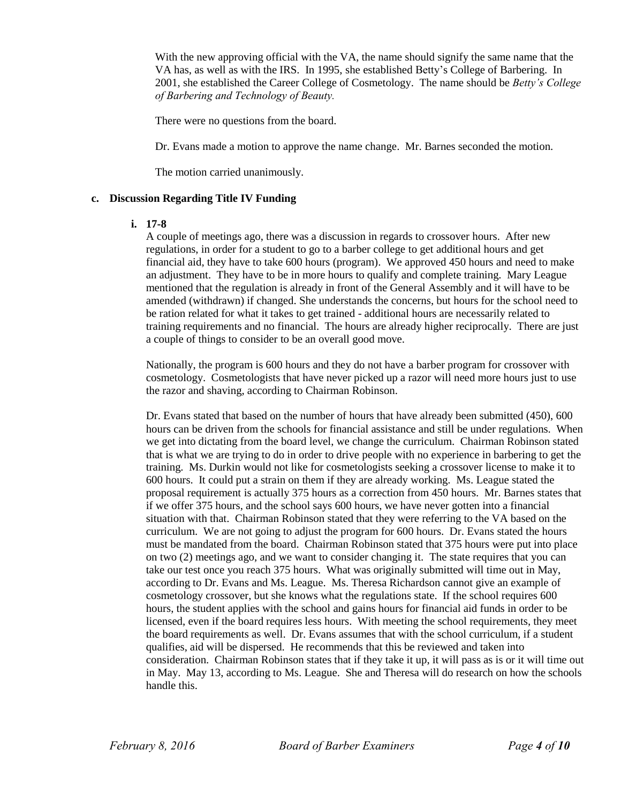With the new approving official with the VA, the name should signify the same name that the VA has, as well as with the IRS. In 1995, she established Betty's College of Barbering. In 2001, she established the Career College of Cosmetology. The name should be *Betty's College of Barbering and Technology of Beauty.*

There were no questions from the board.

Dr. Evans made a motion to approve the name change. Mr. Barnes seconded the motion.

The motion carried unanimously.

### **c. Discussion Regarding Title IV Funding**

#### **i. 17-8**

A couple of meetings ago, there was a discussion in regards to crossover hours. After new regulations, in order for a student to go to a barber college to get additional hours and get financial aid, they have to take 600 hours (program). We approved 450 hours and need to make an adjustment. They have to be in more hours to qualify and complete training. Mary League mentioned that the regulation is already in front of the General Assembly and it will have to be amended (withdrawn) if changed. She understands the concerns, but hours for the school need to be ration related for what it takes to get trained - additional hours are necessarily related to training requirements and no financial. The hours are already higher reciprocally. There are just a couple of things to consider to be an overall good move.

Nationally, the program is 600 hours and they do not have a barber program for crossover with cosmetology. Cosmetologists that have never picked up a razor will need more hours just to use the razor and shaving, according to Chairman Robinson.

Dr. Evans stated that based on the number of hours that have already been submitted (450), 600 hours can be driven from the schools for financial assistance and still be under regulations. When we get into dictating from the board level, we change the curriculum. Chairman Robinson stated that is what we are trying to do in order to drive people with no experience in barbering to get the training. Ms. Durkin would not like for cosmetologists seeking a crossover license to make it to 600 hours. It could put a strain on them if they are already working. Ms. League stated the proposal requirement is actually 375 hours as a correction from 450 hours. Mr. Barnes states that if we offer 375 hours, and the school says 600 hours, we have never gotten into a financial situation with that. Chairman Robinson stated that they were referring to the VA based on the curriculum. We are not going to adjust the program for 600 hours. Dr. Evans stated the hours must be mandated from the board. Chairman Robinson stated that 375 hours were put into place on two (2) meetings ago, and we want to consider changing it. The state requires that you can take our test once you reach 375 hours. What was originally submitted will time out in May, according to Dr. Evans and Ms. League. Ms. Theresa Richardson cannot give an example of cosmetology crossover, but she knows what the regulations state. If the school requires 600 hours, the student applies with the school and gains hours for financial aid funds in order to be licensed, even if the board requires less hours. With meeting the school requirements, they meet the board requirements as well. Dr. Evans assumes that with the school curriculum, if a student qualifies, aid will be dispersed. He recommends that this be reviewed and taken into consideration. Chairman Robinson states that if they take it up, it will pass as is or it will time out in May. May 13, according to Ms. League. She and Theresa will do research on how the schools handle this.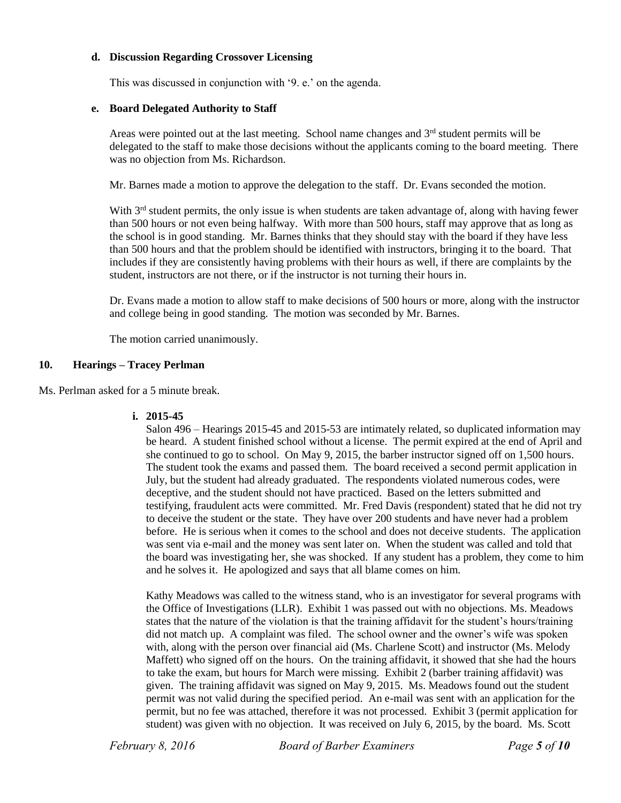## **d. Discussion Regarding Crossover Licensing**

This was discussed in conjunction with '9. e.' on the agenda.

#### **e. Board Delegated Authority to Staff**

Areas were pointed out at the last meeting. School name changes and  $3<sup>rd</sup>$  student permits will be delegated to the staff to make those decisions without the applicants coming to the board meeting. There was no objection from Ms. Richardson.

Mr. Barnes made a motion to approve the delegation to the staff. Dr. Evans seconded the motion.

With  $3<sup>rd</sup>$  student permits, the only issue is when students are taken advantage of, along with having fewer than 500 hours or not even being halfway. With more than 500 hours, staff may approve that as long as the school is in good standing. Mr. Barnes thinks that they should stay with the board if they have less than 500 hours and that the problem should be identified with instructors, bringing it to the board. That includes if they are consistently having problems with their hours as well, if there are complaints by the student, instructors are not there, or if the instructor is not turning their hours in.

Dr. Evans made a motion to allow staff to make decisions of 500 hours or more, along with the instructor and college being in good standing. The motion was seconded by Mr. Barnes.

The motion carried unanimously.

## **10. Hearings – Tracey Perlman**

Ms. Perlman asked for a 5 minute break.

#### **i. 2015-45**

Salon 496 – Hearings 2015-45 and 2015-53 are intimately related, so duplicated information may be heard. A student finished school without a license. The permit expired at the end of April and she continued to go to school. On May 9, 2015, the barber instructor signed off on 1,500 hours. The student took the exams and passed them. The board received a second permit application in July, but the student had already graduated. The respondents violated numerous codes, were deceptive, and the student should not have practiced. Based on the letters submitted and testifying, fraudulent acts were committed. Mr. Fred Davis (respondent) stated that he did not try to deceive the student or the state. They have over 200 students and have never had a problem before. He is serious when it comes to the school and does not deceive students. The application was sent via e-mail and the money was sent later on. When the student was called and told that the board was investigating her, she was shocked. If any student has a problem, they come to him and he solves it. He apologized and says that all blame comes on him.

Kathy Meadows was called to the witness stand, who is an investigator for several programs with the Office of Investigations (LLR). Exhibit 1 was passed out with no objections. Ms. Meadows states that the nature of the violation is that the training affidavit for the student's hours/training did not match up. A complaint was filed. The school owner and the owner's wife was spoken with, along with the person over financial aid (Ms. Charlene Scott) and instructor (Ms. Melody Maffett) who signed off on the hours. On the training affidavit, it showed that she had the hours to take the exam, but hours for March were missing. Exhibit 2 (barber training affidavit) was given. The training affidavit was signed on May 9, 2015. Ms. Meadows found out the student permit was not valid during the specified period. An e-mail was sent with an application for the permit, but no fee was attached, therefore it was not processed. Exhibit 3 (permit application for student) was given with no objection. It was received on July 6, 2015, by the board. Ms. Scott

*February 8, 2016 Board of Barber Examiners Page 5 of 10*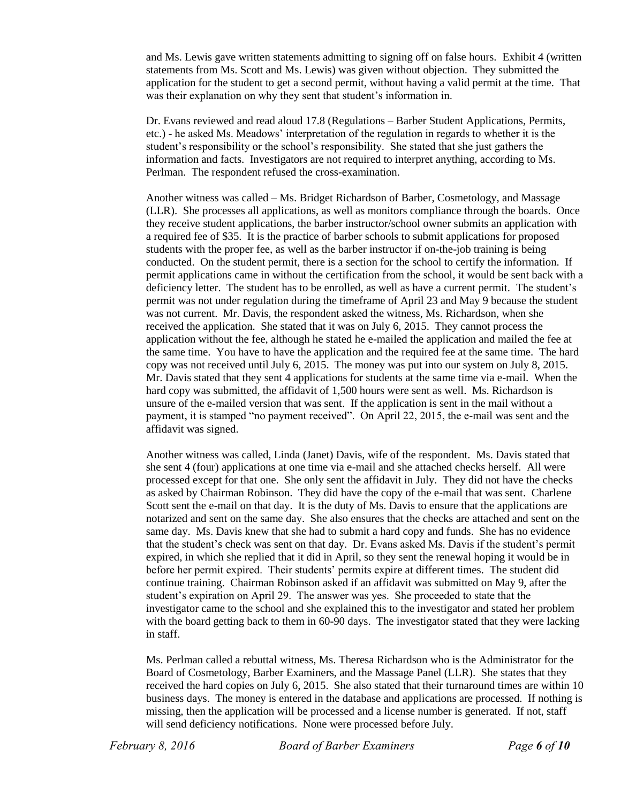and Ms. Lewis gave written statements admitting to signing off on false hours. Exhibit 4 (written statements from Ms. Scott and Ms. Lewis) was given without objection. They submitted the application for the student to get a second permit, without having a valid permit at the time. That was their explanation on why they sent that student's information in.

Dr. Evans reviewed and read aloud 17.8 (Regulations – Barber Student Applications, Permits, etc.) - he asked Ms. Meadows' interpretation of the regulation in regards to whether it is the student's responsibility or the school's responsibility. She stated that she just gathers the information and facts. Investigators are not required to interpret anything, according to Ms. Perlman. The respondent refused the cross-examination.

Another witness was called – Ms. Bridget Richardson of Barber, Cosmetology, and Massage (LLR). She processes all applications, as well as monitors compliance through the boards. Once they receive student applications, the barber instructor/school owner submits an application with a required fee of \$35. It is the practice of barber schools to submit applications for proposed students with the proper fee, as well as the barber instructor if on-the-job training is being conducted. On the student permit, there is a section for the school to certify the information. If permit applications came in without the certification from the school, it would be sent back with a deficiency letter. The student has to be enrolled, as well as have a current permit. The student's permit was not under regulation during the timeframe of April 23 and May 9 because the student was not current. Mr. Davis, the respondent asked the witness, Ms. Richardson, when she received the application. She stated that it was on July 6, 2015. They cannot process the application without the fee, although he stated he e-mailed the application and mailed the fee at the same time. You have to have the application and the required fee at the same time. The hard copy was not received until July 6, 2015. The money was put into our system on July 8, 2015. Mr. Davis stated that they sent 4 applications for students at the same time via e-mail. When the hard copy was submitted, the affidavit of 1,500 hours were sent as well. Ms. Richardson is unsure of the e-mailed version that was sent. If the application is sent in the mail without a payment, it is stamped "no payment received". On April 22, 2015, the e-mail was sent and the affidavit was signed.

Another witness was called, Linda (Janet) Davis, wife of the respondent. Ms. Davis stated that she sent 4 (four) applications at one time via e-mail and she attached checks herself. All were processed except for that one. She only sent the affidavit in July. They did not have the checks as asked by Chairman Robinson. They did have the copy of the e-mail that was sent. Charlene Scott sent the e-mail on that day. It is the duty of Ms. Davis to ensure that the applications are notarized and sent on the same day. She also ensures that the checks are attached and sent on the same day. Ms. Davis knew that she had to submit a hard copy and funds. She has no evidence that the student's check was sent on that day. Dr. Evans asked Ms. Davis if the student's permit expired, in which she replied that it did in April, so they sent the renewal hoping it would be in before her permit expired. Their students' permits expire at different times. The student did continue training. Chairman Robinson asked if an affidavit was submitted on May 9, after the student's expiration on April 29. The answer was yes. She proceeded to state that the investigator came to the school and she explained this to the investigator and stated her problem with the board getting back to them in 60-90 days. The investigator stated that they were lacking in staff.

Ms. Perlman called a rebuttal witness, Ms. Theresa Richardson who is the Administrator for the Board of Cosmetology, Barber Examiners, and the Massage Panel (LLR). She states that they received the hard copies on July 6, 2015. She also stated that their turnaround times are within 10 business days. The money is entered in the database and applications are processed. If nothing is missing, then the application will be processed and a license number is generated. If not, staff will send deficiency notifications. None were processed before July.

*February 8, 2016 Board of Barber Examiners Page 6 of 10*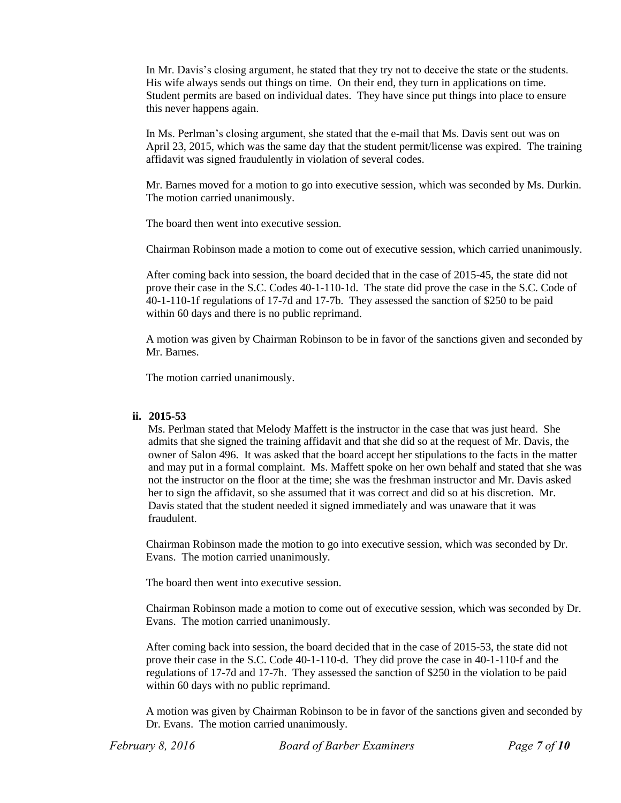In Mr. Davis's closing argument, he stated that they try not to deceive the state or the students. His wife always sends out things on time. On their end, they turn in applications on time. Student permits are based on individual dates. They have since put things into place to ensure this never happens again.

In Ms. Perlman's closing argument, she stated that the e-mail that Ms. Davis sent out was on April 23, 2015, which was the same day that the student permit/license was expired. The training affidavit was signed fraudulently in violation of several codes.

Mr. Barnes moved for a motion to go into executive session, which was seconded by Ms. Durkin. The motion carried unanimously.

The board then went into executive session.

Chairman Robinson made a motion to come out of executive session, which carried unanimously.

After coming back into session, the board decided that in the case of 2015-45, the state did not prove their case in the S.C. Codes 40-1-110-1d. The state did prove the case in the S.C. Code of 40-1-110-1f regulations of 17-7d and 17-7b. They assessed the sanction of \$250 to be paid within 60 days and there is no public reprimand.

A motion was given by Chairman Robinson to be in favor of the sanctions given and seconded by Mr. Barnes.

The motion carried unanimously.

#### **ii. 2015-53**

Ms. Perlman stated that Melody Maffett is the instructor in the case that was just heard. She admits that she signed the training affidavit and that she did so at the request of Mr. Davis, the owner of Salon 496. It was asked that the board accept her stipulations to the facts in the matter and may put in a formal complaint. Ms. Maffett spoke on her own behalf and stated that she was not the instructor on the floor at the time; she was the freshman instructor and Mr. Davis asked her to sign the affidavit, so she assumed that it was correct and did so at his discretion. Mr. Davis stated that the student needed it signed immediately and was unaware that it was fraudulent.

Chairman Robinson made the motion to go into executive session, which was seconded by Dr. Evans. The motion carried unanimously.

The board then went into executive session.

Chairman Robinson made a motion to come out of executive session, which was seconded by Dr. Evans. The motion carried unanimously.

After coming back into session, the board decided that in the case of 2015-53, the state did not prove their case in the S.C. Code 40-1-110-d. They did prove the case in 40-1-110-f and the regulations of 17-7d and 17-7h. They assessed the sanction of \$250 in the violation to be paid within 60 days with no public reprimand.

A motion was given by Chairman Robinson to be in favor of the sanctions given and seconded by Dr. Evans. The motion carried unanimously.

*February 8, 2016 Board of Barber Examiners Page 7 of 10*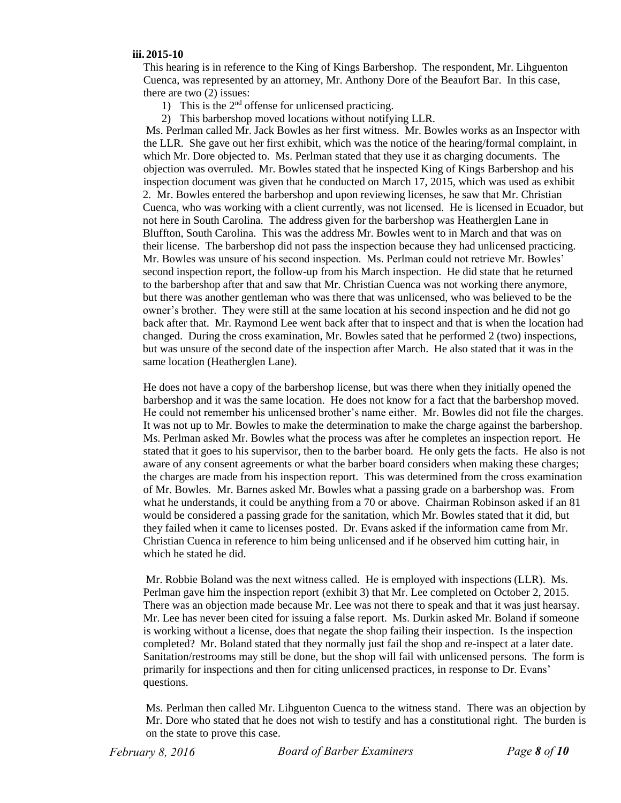#### **iii. 2015-10**

This hearing is in reference to the King of Kings Barbershop. The respondent, Mr. Lihguenton Cuenca, was represented by an attorney, Mr. Anthony Dore of the Beaufort Bar. In this case, there are two (2) issues:

- 1) This is the 2nd offense for unlicensed practicing.
- 2) This barbershop moved locations without notifying LLR.

Ms. Perlman called Mr. Jack Bowles as her first witness. Mr. Bowles works as an Inspector with the LLR. She gave out her first exhibit, which was the notice of the hearing/formal complaint, in which Mr. Dore objected to. Ms. Perlman stated that they use it as charging documents. The objection was overruled. Mr. Bowles stated that he inspected King of Kings Barbershop and his inspection document was given that he conducted on March 17, 2015, which was used as exhibit 2. Mr. Bowles entered the barbershop and upon reviewing licenses, he saw that Mr. Christian Cuenca, who was working with a client currently, was not licensed. He is licensed in Ecuador, but not here in South Carolina. The address given for the barbershop was Heatherglen Lane in Bluffton, South Carolina. This was the address Mr. Bowles went to in March and that was on their license. The barbershop did not pass the inspection because they had unlicensed practicing. Mr. Bowles was unsure of his second inspection. Ms. Perlman could not retrieve Mr. Bowles' second inspection report, the follow-up from his March inspection. He did state that he returned to the barbershop after that and saw that Mr. Christian Cuenca was not working there anymore, but there was another gentleman who was there that was unlicensed, who was believed to be the owner's brother. They were still at the same location at his second inspection and he did not go back after that. Mr. Raymond Lee went back after that to inspect and that is when the location had changed. During the cross examination, Mr. Bowles sated that he performed 2 (two) inspections, but was unsure of the second date of the inspection after March. He also stated that it was in the same location (Heatherglen Lane).

He does not have a copy of the barbershop license, but was there when they initially opened the barbershop and it was the same location. He does not know for a fact that the barbershop moved. He could not remember his unlicensed brother's name either. Mr. Bowles did not file the charges. It was not up to Mr. Bowles to make the determination to make the charge against the barbershop. Ms. Perlman asked Mr. Bowles what the process was after he completes an inspection report. He stated that it goes to his supervisor, then to the barber board. He only gets the facts. He also is not aware of any consent agreements or what the barber board considers when making these charges; the charges are made from his inspection report. This was determined from the cross examination of Mr. Bowles. Mr. Barnes asked Mr. Bowles what a passing grade on a barbershop was. From what he understands, it could be anything from a 70 or above. Chairman Robinson asked if an 81 would be considered a passing grade for the sanitation, which Mr. Bowles stated that it did, but they failed when it came to licenses posted. Dr. Evans asked if the information came from Mr. Christian Cuenca in reference to him being unlicensed and if he observed him cutting hair, in which he stated he did.

Mr. Robbie Boland was the next witness called. He is employed with inspections (LLR). Ms. Perlman gave him the inspection report (exhibit 3) that Mr. Lee completed on October 2, 2015. There was an objection made because Mr. Lee was not there to speak and that it was just hearsay. Mr. Lee has never been cited for issuing a false report. Ms. Durkin asked Mr. Boland if someone is working without a license, does that negate the shop failing their inspection. Is the inspection completed? Mr. Boland stated that they normally just fail the shop and re-inspect at a later date. Sanitation/restrooms may still be done, but the shop will fail with unlicensed persons. The form is primarily for inspections and then for citing unlicensed practices, in response to Dr. Evans' questions.

Ms. Perlman then called Mr. Lihguenton Cuenca to the witness stand. There was an objection by Mr. Dore who stated that he does not wish to testify and has a constitutional right. The burden is on the state to prove this case.

*February 8, 2016 Board of Barber Examiners Page 8 of 10*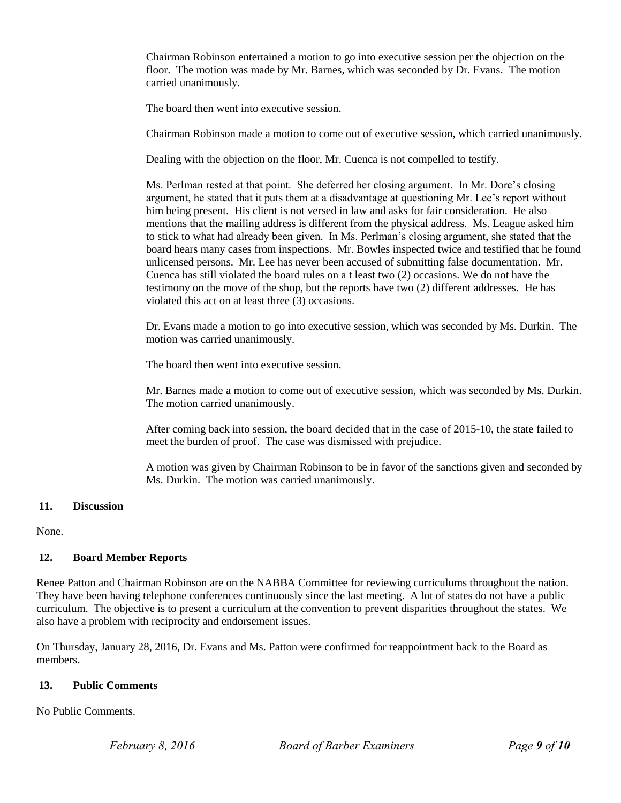Chairman Robinson entertained a motion to go into executive session per the objection on the floor. The motion was made by Mr. Barnes, which was seconded by Dr. Evans. The motion carried unanimously.

The board then went into executive session.

Chairman Robinson made a motion to come out of executive session, which carried unanimously.

Dealing with the objection on the floor, Mr. Cuenca is not compelled to testify.

Ms. Perlman rested at that point. She deferred her closing argument. In Mr. Dore's closing argument, he stated that it puts them at a disadvantage at questioning Mr. Lee's report without him being present. His client is not versed in law and asks for fair consideration. He also mentions that the mailing address is different from the physical address. Ms. League asked him to stick to what had already been given. In Ms. Perlman's closing argument, she stated that the board hears many cases from inspections. Mr. Bowles inspected twice and testified that he found unlicensed persons. Mr. Lee has never been accused of submitting false documentation. Mr. Cuenca has still violated the board rules on a t least two (2) occasions. We do not have the testimony on the move of the shop, but the reports have two (2) different addresses. He has violated this act on at least three (3) occasions.

Dr. Evans made a motion to go into executive session, which was seconded by Ms. Durkin. The motion was carried unanimously.

The board then went into executive session.

Mr. Barnes made a motion to come out of executive session, which was seconded by Ms. Durkin. The motion carried unanimously.

After coming back into session, the board decided that in the case of 2015-10, the state failed to meet the burden of proof. The case was dismissed with prejudice.

A motion was given by Chairman Robinson to be in favor of the sanctions given and seconded by Ms. Durkin. The motion was carried unanimously.

## **11. Discussion**

None.

## **12. Board Member Reports**

Renee Patton and Chairman Robinson are on the NABBA Committee for reviewing curriculums throughout the nation. They have been having telephone conferences continuously since the last meeting. A lot of states do not have a public curriculum. The objective is to present a curriculum at the convention to prevent disparities throughout the states. We also have a problem with reciprocity and endorsement issues.

On Thursday, January 28, 2016, Dr. Evans and Ms. Patton were confirmed for reappointment back to the Board as members.

## **13. Public Comments**

No Public Comments.